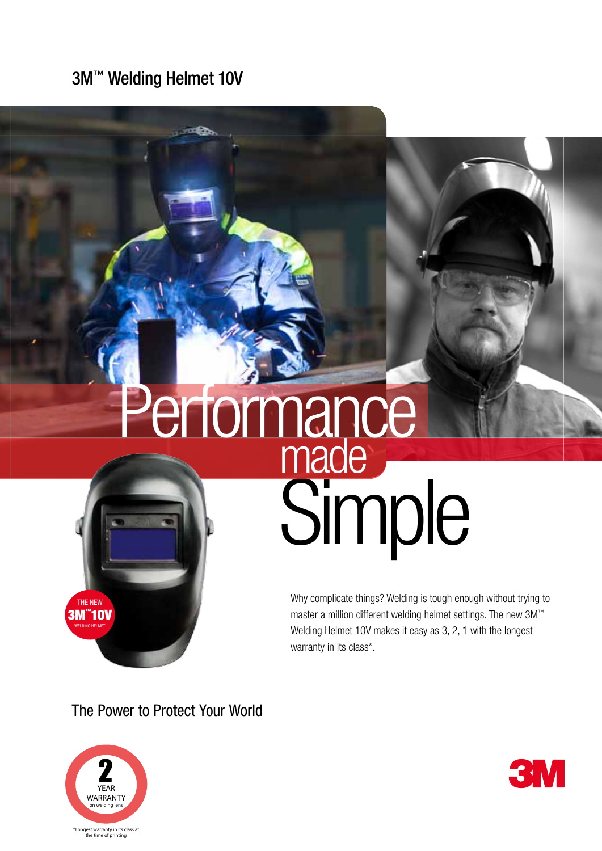3M™ Welding Helmet 10V

## Simple made Performance

Why complicate things? Welding is tough enough without trying to master a million different welding helmet settings. The new 3M™ Welding Helmet 10V makes it easy as 3, 2, 1 with the longest warranty in its class\*.

The Power to Protect Your World



THE NEW 3M™ 10V Welding Helme<sup>t</sup>